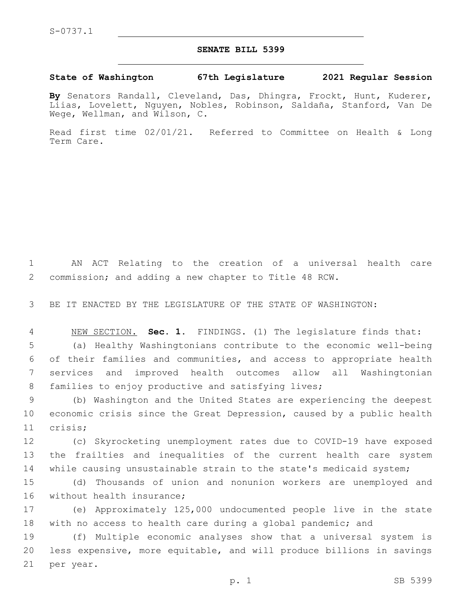## **SENATE BILL 5399**

## **State of Washington 67th Legislature 2021 Regular Session**

**By** Senators Randall, Cleveland, Das, Dhingra, Frockt, Hunt, Kuderer, Liias, Lovelett, Nguyen, Nobles, Robinson, Saldaña, Stanford, Van De Wege, Wellman, and Wilson, C.

Read first time 02/01/21. Referred to Committee on Health & Long Term Care.

1 AN ACT Relating to the creation of a universal health care 2 commission; and adding a new chapter to Title 48 RCW.

3 BE IT ENACTED BY THE LEGISLATURE OF THE STATE OF WASHINGTON:

 NEW SECTION. **Sec. 1.** FINDINGS. (1) The legislature finds that: (a) Healthy Washingtonians contribute to the economic well-being of their families and communities, and access to appropriate health services and improved health outcomes allow all Washingtonian 8 families to enjoy productive and satisfying lives;

9 (b) Washington and the United States are experiencing the deepest 10 economic crisis since the Great Depression, caused by a public health 11 crisis;

12 (c) Skyrocketing unemployment rates due to COVID-19 have exposed 13 the frailties and inequalities of the current health care system 14 while causing unsustainable strain to the state's medicaid system;

15 (d) Thousands of union and nonunion workers are unemployed and 16 without health insurance;

17 (e) Approximately 125,000 undocumented people live in the state 18 with no access to health care during a global pandemic; and

19 (f) Multiple economic analyses show that a universal system is 20 less expensive, more equitable, and will produce billions in savings 21 per year.

p. 1 SB 5399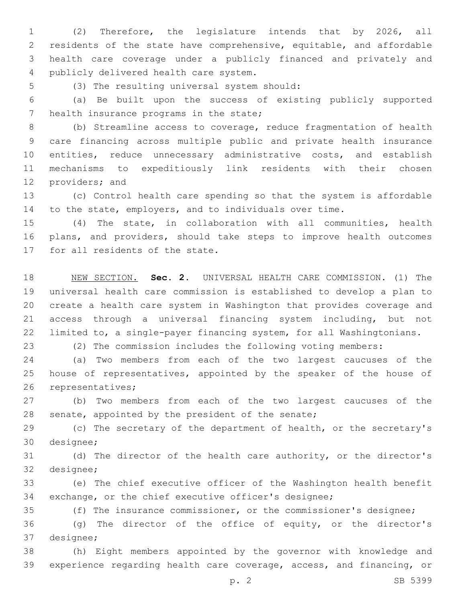(2) Therefore, the legislature intends that by 2026, all residents of the state have comprehensive, equitable, and affordable health care coverage under a publicly financed and privately and 4 publicly delivered health care system.

5 (3) The resulting universal system should:

 (a) Be built upon the success of existing publicly supported 7 health insurance programs in the state;

 (b) Streamline access to coverage, reduce fragmentation of health care financing across multiple public and private health insurance 10 entities, reduce unnecessary administrative costs, and establish mechanisms to expeditiously link residents with their chosen 12 providers; and

 (c) Control health care spending so that the system is affordable to the state, employers, and to individuals over time.

 (4) The state, in collaboration with all communities, health plans, and providers, should take steps to improve health outcomes 17 for all residents of the state.

 NEW SECTION. **Sec. 2.** UNIVERSAL HEALTH CARE COMMISSION. (1) The universal health care commission is established to develop a plan to create a health care system in Washington that provides coverage and access through a universal financing system including, but not limited to, a single-payer financing system, for all Washingtonians.

(2) The commission includes the following voting members:

 (a) Two members from each of the two largest caucuses of the house of representatives, appointed by the speaker of the house of 26 representatives;

 (b) Two members from each of the two largest caucuses of the 28 senate, appointed by the president of the senate;

 (c) The secretary of the department of health, or the secretary's 30 designee;

 (d) The director of the health care authority, or the director's 32 designee;

 (e) The chief executive officer of the Washington health benefit exchange, or the chief executive officer's designee;

 (f) The insurance commissioner, or the commissioner's designee; (g) The director of the office of equity, or the director's 37 designee;

 (h) Eight members appointed by the governor with knowledge and experience regarding health care coverage, access, and financing, or

p. 2 SB 5399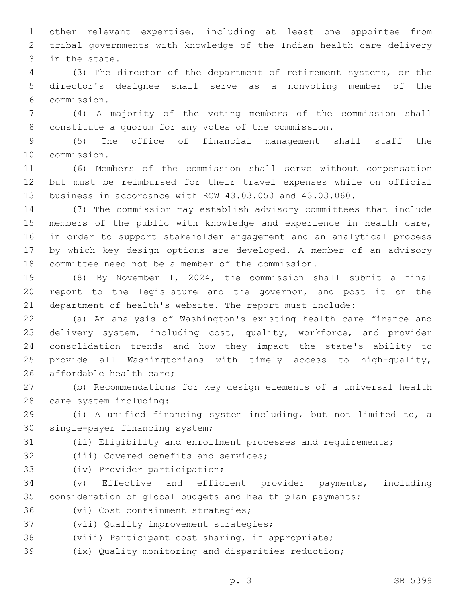other relevant expertise, including at least one appointee from tribal governments with knowledge of the Indian health care delivery 3 in the state.

 (3) The director of the department of retirement systems, or the director's designee shall serve as a nonvoting member of the commission.6

 (4) A majority of the voting members of the commission shall constitute a quorum for any votes of the commission.

 (5) The office of financial management shall staff the 10 commission.

 (6) Members of the commission shall serve without compensation but must be reimbursed for their travel expenses while on official business in accordance with RCW 43.03.050 and 43.03.060.

 (7) The commission may establish advisory committees that include members of the public with knowledge and experience in health care, in order to support stakeholder engagement and an analytical process by which key design options are developed. A member of an advisory 18 committee need not be a member of the commission.

 (8) By November 1, 2024, the commission shall submit a final report to the legislature and the governor, and post it on the department of health's website. The report must include:

 (a) An analysis of Washington's existing health care finance and delivery system, including cost, quality, workforce, and provider consolidation trends and how they impact the state's ability to provide all Washingtonians with timely access to high-quality, 26 affordable health care;

 (b) Recommendations for key design elements of a universal health 28 care system including:

 (i) A unified financing system including, but not limited to, a 30 single-payer financing system;

(ii) Eligibility and enrollment processes and requirements;

32 (iii) Covered benefits and services;

33 (iv) Provider participation;

 (v) Effective and efficient provider payments, including consideration of global budgets and health plan payments;

36 (vi) Cost containment strategies;

37 (vii) Quality improvement strategies;

(viii) Participant cost sharing, if appropriate;

(ix) Quality monitoring and disparities reduction;